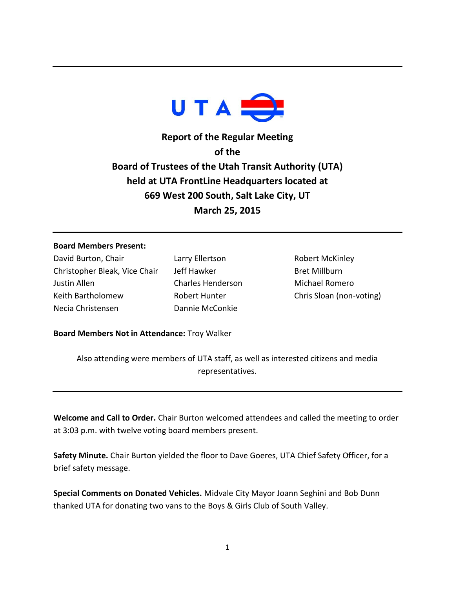

**Report of the Regular Meeting of the Board of Trustees of the Utah Transit Authority (UTA) held at UTA FrontLine Headquarters located at 669 West 200 South, Salt Lake City, UT March 25, 2015**

## **Board Members Present:**

David Burton, Chair Christopher Bleak, Vice Chair Justin Allen Keith Bartholomew Necia Christensen

Larry Ellertson Jeff Hawker Charles Henderson Robert Hunter Dannie McConkie

Robert McKinley Bret Millburn Michael Romero Chris Sloan (non-voting)

**Board Members Not in Attendance:** Troy Walker

Also attending were members of UTA staff, as well as interested citizens and media representatives.

**Welcome and Call to Order.** Chair Burton welcomed attendees and called the meeting to order at 3:03 p.m. with twelve voting board members present.

**Safety Minute.** Chair Burton yielded the floor to Dave Goeres, UTA Chief Safety Officer, for a brief safety message.

**Special Comments on Donated Vehicles.** Midvale City Mayor Joann Seghini and Bob Dunn thanked UTA for donating two vans to the Boys & Girls Club of South Valley.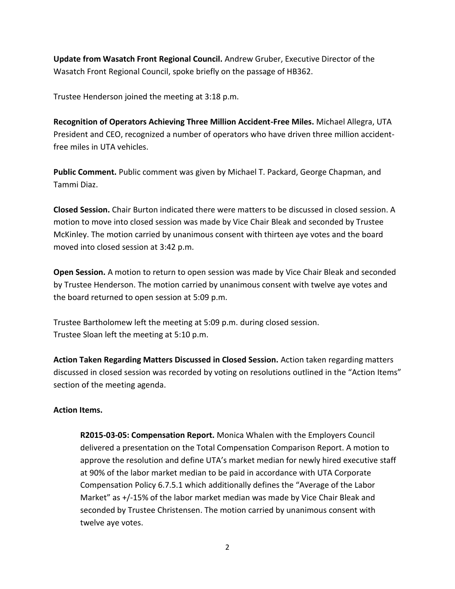**Update from Wasatch Front Regional Council.** Andrew Gruber, Executive Director of the Wasatch Front Regional Council, spoke briefly on the passage of HB362.

Trustee Henderson joined the meeting at 3:18 p.m.

**Recognition of Operators Achieving Three Million Accident-Free Miles.** Michael Allegra, UTA President and CEO, recognized a number of operators who have driven three million accidentfree miles in UTA vehicles.

**Public Comment.** Public comment was given by Michael T. Packard, George Chapman, and Tammi Diaz.

**Closed Session.** Chair Burton indicated there were matters to be discussed in closed session. A motion to move into closed session was made by Vice Chair Bleak and seconded by Trustee McKinley. The motion carried by unanimous consent with thirteen aye votes and the board moved into closed session at 3:42 p.m.

**Open Session.** A motion to return to open session was made by Vice Chair Bleak and seconded by Trustee Henderson. The motion carried by unanimous consent with twelve aye votes and the board returned to open session at 5:09 p.m.

Trustee Bartholomew left the meeting at 5:09 p.m. during closed session. Trustee Sloan left the meeting at 5:10 p.m.

**Action Taken Regarding Matters Discussed in Closed Session.** Action taken regarding matters discussed in closed session was recorded by voting on resolutions outlined in the "Action Items" section of the meeting agenda.

## **Action Items.**

**R2015-03-05: Compensation Report.** Monica Whalen with the Employers Council delivered a presentation on the Total Compensation Comparison Report. A motion to approve the resolution and define UTA's market median for newly hired executive staff at 90% of the labor market median to be paid in accordance with UTA Corporate Compensation Policy 6.7.5.1 which additionally defines the "Average of the Labor Market" as +/-15% of the labor market median was made by Vice Chair Bleak and seconded by Trustee Christensen. The motion carried by unanimous consent with twelve aye votes.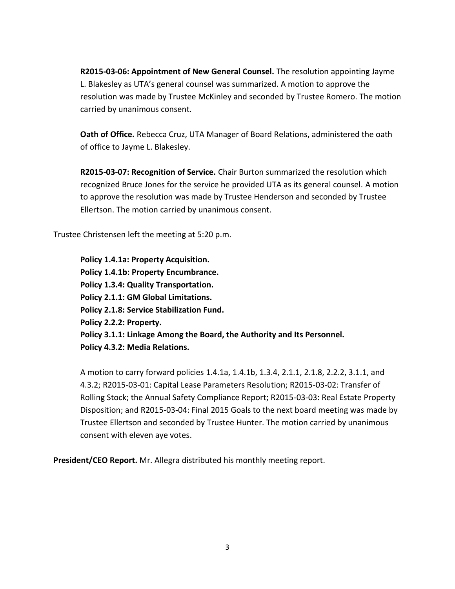**R2015-03-06: Appointment of New General Counsel.** The resolution appointing Jayme L. Blakesley as UTA's general counsel was summarized. A motion to approve the resolution was made by Trustee McKinley and seconded by Trustee Romero. The motion carried by unanimous consent.

**Oath of Office.** Rebecca Cruz, UTA Manager of Board Relations, administered the oath of office to Jayme L. Blakesley.

**R2015-03-07: Recognition of Service.** Chair Burton summarized the resolution which recognized Bruce Jones for the service he provided UTA as its general counsel. A motion to approve the resolution was made by Trustee Henderson and seconded by Trustee Ellertson. The motion carried by unanimous consent.

Trustee Christensen left the meeting at 5:20 p.m.

**Policy 1.4.1a: Property Acquisition. Policy 1.4.1b: Property Encumbrance. Policy 1.3.4: Quality Transportation. Policy 2.1.1: GM Global Limitations. Policy 2.1.8: Service Stabilization Fund. Policy 2.2.2: Property. Policy 3.1.1: Linkage Among the Board, the Authority and Its Personnel. Policy 4.3.2: Media Relations.**

A motion to carry forward policies 1.4.1a, 1.4.1b, 1.3.4, 2.1.1, 2.1.8, 2.2.2, 3.1.1, and 4.3.2; R2015-03-01: Capital Lease Parameters Resolution; R2015-03-02: Transfer of Rolling Stock; the Annual Safety Compliance Report; R2015-03-03: Real Estate Property Disposition; and R2015-03-04: Final 2015 Goals to the next board meeting was made by Trustee Ellertson and seconded by Trustee Hunter. The motion carried by unanimous consent with eleven aye votes.

**President/CEO Report.** Mr. Allegra distributed his monthly meeting report.